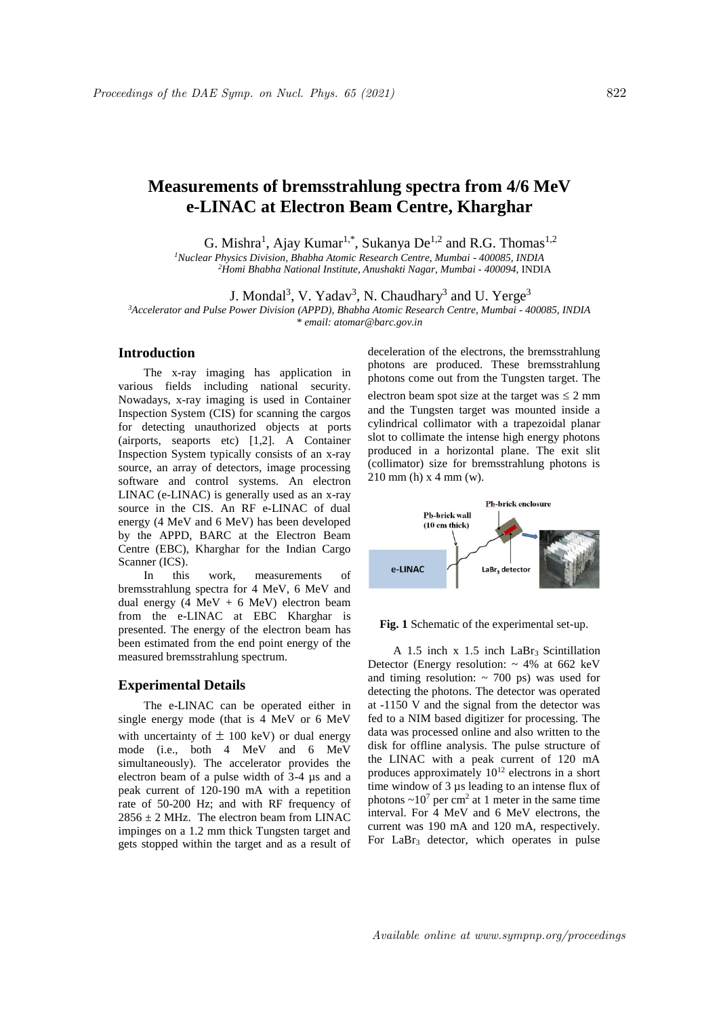# **Measurements of bremsstrahlung spectra from 4/6 MeV e-LINAC at Electron Beam Centre, Kharghar**

G. Mishra<sup>1</sup>, Ajay Kumar<sup>1,\*</sup>, Sukanya De<sup>1,2</sup> and R.G. Thomas<sup>1,2</sup>

*<sup>1</sup>Nuclear Physics Division, Bhabha Atomic Research Centre, Mumbai - 400085, INDIA <sup>2</sup>Homi Bhabha National Institute, Anushakti Nagar, Mumbai - 400094,* INDIA

J. Mondal<sup>3</sup>, V. Yadav<sup>3</sup>, N. Chaudhary<sup>3</sup> and U. Yerge<sup>3</sup>

*<sup>3</sup>Accelerator and Pulse Power Division (APPD), Bhabha Atomic Research Centre, Mumbai - 400085, INDIA \* email: atomar@barc.gov.in*

## **Introduction**

The x-ray imaging has application in various fields including national security. Nowadays, x-ray imaging is used in Container Inspection System (CIS) for scanning the cargos for detecting unauthorized objects at ports (airports, seaports etc) [1,2]. A Container Inspection System typically consists of an x-ray source, an array of detectors, image processing software and control systems. An electron LINAC (e-LINAC) is generally used as an x-ray source in the CIS. An RF e-LINAC of dual energy (4 MeV and 6 MeV) has been developed by the APPD, BARC at the Electron Beam Centre (EBC), Kharghar for the Indian Cargo Scanner (ICS).

In this work, measurements of bremsstrahlung spectra for 4 MeV, 6 MeV and dual energy  $(4 \text{ MeV} + 6 \text{ MeV})$  electron beam from the e-LINAC at EBC Kharghar is presented. The energy of the electron beam has been estimated from the end point energy of the measured bremsstrahlung spectrum.

#### **Experimental Details**

The e-LINAC can be operated either in single energy mode (that is 4 MeV or 6 MeV with uncertainty of  $\pm$  100 keV) or dual energy mode (i.e., both 4 MeV and 6 MeV simultaneously). The accelerator provides the electron beam of a pulse width of 3-4 µs and a peak current of 120-190 mA with a repetition rate of 50-200 Hz; and with RF frequency of  $2856 \pm 2$  MHz. The electron beam from LINAC impinges on a 1.2 mm thick Tungsten target and gets stopped within the target and as a result of deceleration of the electrons, the bremsstrahlung photons are produced. These bremsstrahlung photons come out from the Tungsten target. The electron beam spot size at the target was  $\leq 2$  mm and the Tungsten target was mounted inside a cylindrical collimator with a trapezoidal planar slot to collimate the intense high energy photons produced in a horizontal plane. The exit slit (collimator) size for bremsstrahlung photons is

210 mm (h) x 4 mm (w).



**Fig. 1** Schematic of the experimental set-up.

A 1.5 inch  $x$  1.5 inch LaBr<sub>3</sub> Scintillation Detector (Energy resolution:  $\sim$  4% at 662 keV and timing resolution:  $\sim$  700 ps) was used for detecting the photons. The detector was operated at -1150 V and the signal from the detector was fed to a NIM based digitizer for processing. The data was processed online and also written to the disk for offline analysis. The pulse structure of the LINAC with a peak current of 120 mA produces approximately  $10^{12}$  electrons in a short time window of 3 µs leading to an intense flux of photons  $\sim 10^7$  per cm<sup>2</sup> at 1 meter in the same time interval. For 4 MeV and 6 MeV electrons, the current was 190 mA and 120 mA, respectively. For  $LaBr<sub>3</sub>$  detector, which operates in pulse